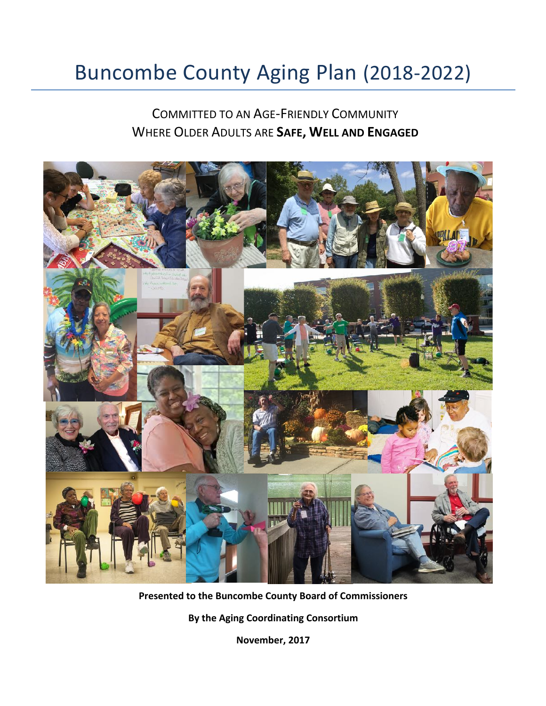# Buncombe County Aging Plan (2018-2022)

## COMMITTED TO AN AGE-FRIENDLY COMMUNITY WHERE OLDER ADULTS ARE SAFE, WELL AND ENGAGED



Presented to the Buncombe County Board of Commissioners

**By the Aging Coordinating Consortium**

**November, 2017**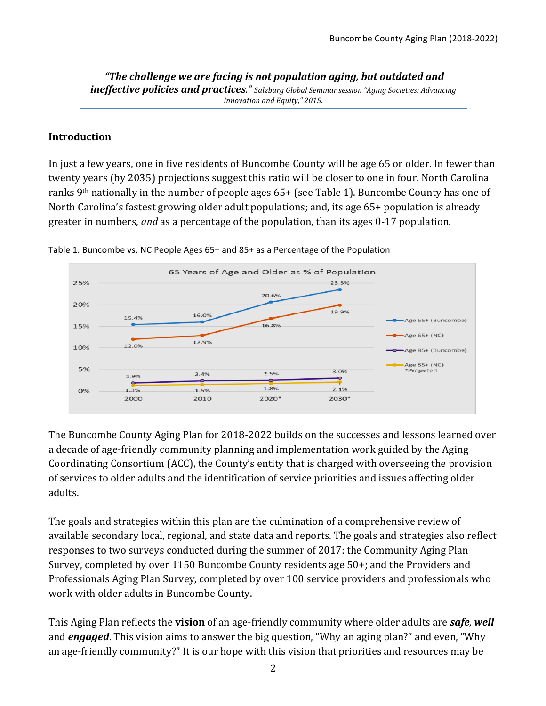*"The challenge we are facing is not population aging, but outdated and ineffective policies and practices.*" Salzburg Global Seminar session "Aging Societies: Advancing *Innovation and Equity," 2015.*

#### **Introduction**

In just a few years, one in five residents of Buncombe County will be age 65 or older. In fewer than twenty years (by 2035) projections suggest this ratio will be closer to one in four. North Carolina ranks 9<sup>th</sup> nationally in the number of people ages 65+ (see Table 1). Buncombe County has one of North Carolina's fastest growing older adult populations; and, its age 65+ population is already greater in numbers, *and* as a percentage of the population, than its ages 0-17 population.



Table 1. Buncombe vs. NC People Ages 65+ and 85+ as a Percentage of the Population

The Buncombe County Aging Plan for 2018-2022 builds on the successes and lessons learned over a decade of age-friendly community planning and implementation work guided by the Aging Coordinating Consortium (ACC), the County's entity that is charged with overseeing the provision of services to older adults and the identification of service priorities and issues affecting older adults.

The goals and strategies within this plan are the culmination of a comprehensive review of available secondary local, regional, and state data and reports. The goals and strategies also reflect responses to two surveys conducted during the summer of 2017: the Community Aging Plan Survey, completed by over 1150 Buncombe County residents age 50+; and the Providers and Professionals Aging Plan Survey, completed by over 100 service providers and professionals who work with older adults in Buncombe County.

This Aging Plan reflects the **vision** of an age-friendly community where older adults are **safe**, **well** and **engaged**. This vision aims to answer the big question, "Why an aging plan?" and even, "Why an age-friendly community?" It is our hope with this vision that priorities and resources may be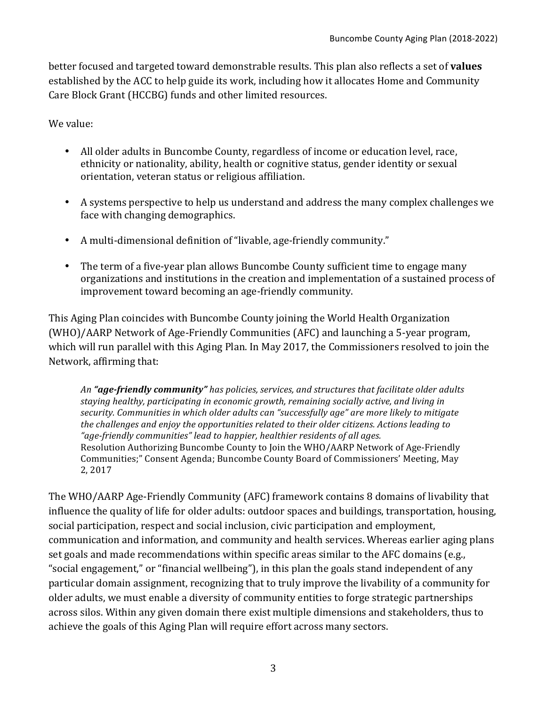better focused and targeted toward demonstrable results. This plan also reflects a set of **values** established by the ACC to help guide its work, including how it allocates Home and Community Care Block Grant (HCCBG) funds and other limited resources.

We value:

- All older adults in Buncombe County, regardless of income or education level, race, ethnicity or nationality, ability, health or cognitive status, gender identity or sexual orientation, veteran status or religious affiliation.
- A systems perspective to help us understand and address the many complex challenges we face with changing demographics.
- A multi-dimensional definition of "livable, age-friendly community."
- The term of a five-year plan allows Buncombe County sufficient time to engage many organizations and institutions in the creation and implementation of a sustained process of improvement toward becoming an age-friendly community.

This Aging Plan coincides with Buncombe County joining the World Health Organization (WHO)/AARP Network of Age-Friendly Communities (AFC) and launching a 5-year program, which will run parallel with this Aging Plan. In May 2017, the Commissioners resolved to join the Network, affirming that:

An "age-friendly community" has policies, services, and structures that facilitate older adults staying healthy, participating in economic growth, remaining socially active, and living in security. Communities in which older adults can "successfully age" are more likely to mitigate the challenges and enjoy the opportunities related to their older citizens. Actions leading to "age-friendly communities" lead to happier, healthier residents of all ages. Resolution Authorizing Buncombe County to Join the WHO/AARP Network of Age-Friendly Communities;" Consent Agenda; Buncombe County Board of Commissioners' Meeting, May 2, 2017

The WHO/AARP Age-Friendly Community (AFC) framework contains 8 domains of livability that influence the quality of life for older adults: outdoor spaces and buildings, transportation, housing, social participation, respect and social inclusion, civic participation and employment, communication and information, and community and health services. Whereas earlier aging plans set goals and made recommendations within specific areas similar to the AFC domains (e.g., "social engagement," or "financial wellbeing"), in this plan the goals stand independent of any particular domain assignment, recognizing that to truly improve the livability of a community for older adults, we must enable a diversity of community entities to forge strategic partnerships across silos. Within any given domain there exist multiple dimensions and stakeholders, thus to achieve the goals of this Aging Plan will require effort across many sectors.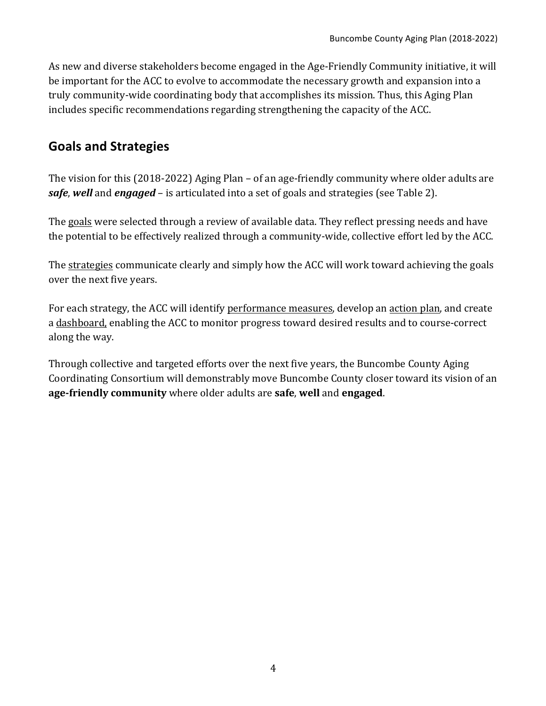As new and diverse stakeholders become engaged in the Age-Friendly Community initiative, it will be important for the ACC to evolve to accommodate the necessary growth and expansion into a truly community-wide coordinating body that accomplishes its mission. Thus, this Aging Plan includes specific recommendations regarding strengthening the capacity of the ACC.

#### **Goals and Strategies**

The vision for this  $(2018-2022)$  Aging Plan – of an age-friendly community where older adults are **safe, well** and **engaged** – is articulated into a set of goals and strategies (see Table 2).

The goals were selected through a review of available data. They reflect pressing needs and have the potential to be effectively realized through a community-wide, collective effort led by the ACC.

The strategies communicate clearly and simply how the ACC will work toward achieving the goals over the next five years.

For each strategy, the ACC will identify performance measures, develop an action plan, and create a dashboard, enabling the ACC to monitor progress toward desired results and to course-correct along the way.

Through collective and targeted efforts over the next five years, the Buncombe County Aging Coordinating Consortium will demonstrably move Buncombe County closer toward its vision of an **age-friendly community** where older adults are **safe**, well and engaged.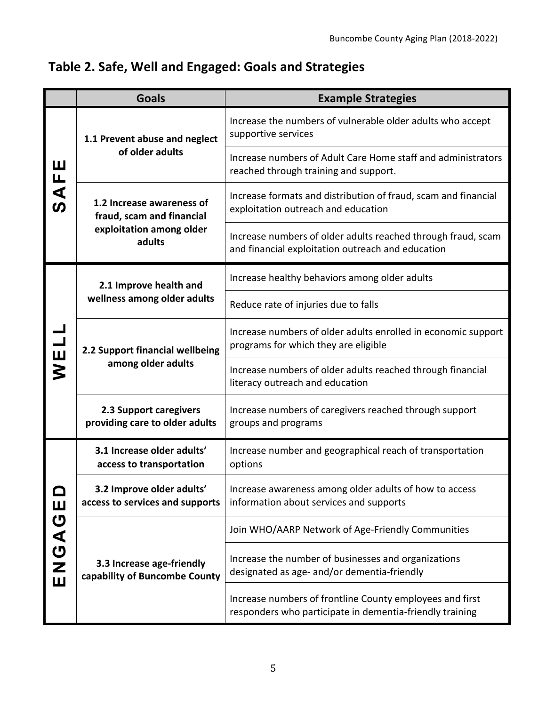|                 | <b>Goals</b>                                                                                 | <b>Example Strategies</b>                                                                                            |
|-----------------|----------------------------------------------------------------------------------------------|----------------------------------------------------------------------------------------------------------------------|
| Ш<br><b>SAF</b> | 1.1 Prevent abuse and neglect<br>of older adults                                             | Increase the numbers of vulnerable older adults who accept<br>supportive services                                    |
|                 |                                                                                              | Increase numbers of Adult Care Home staff and administrators<br>reached through training and support.                |
|                 | 1.2 Increase awareness of<br>fraud, scam and financial<br>exploitation among older<br>adults | Increase formats and distribution of fraud, scam and financial<br>exploitation outreach and education                |
|                 |                                                                                              | Increase numbers of older adults reached through fraud, scam<br>and financial exploitation outreach and education    |
| WELI            | 2.1 Improve health and<br>wellness among older adults                                        | Increase healthy behaviors among older adults                                                                        |
|                 |                                                                                              | Reduce rate of injuries due to falls                                                                                 |
|                 | 2.2 Support financial wellbeing<br>among older adults                                        | Increase numbers of older adults enrolled in economic support<br>programs for which they are eligible                |
|                 |                                                                                              | Increase numbers of older adults reached through financial<br>literacy outreach and education                        |
|                 | 2.3 Support caregivers<br>providing care to older adults                                     | Increase numbers of caregivers reached through support<br>groups and programs                                        |
| Ш<br>のくり<br>NH  | 3.1 Increase older adults'<br>access to transportation                                       | Increase number and geographical reach of transportation<br>options                                                  |
|                 | 3.2 Improve older adults'<br>access to services and supports                                 | Increase awareness among older adults of how to access<br>information about services and supports                    |
|                 | 3.3 Increase age-friendly<br>capability of Buncombe County                                   | Join WHO/AARP Network of Age-Friendly Communities                                                                    |
|                 |                                                                                              | Increase the number of businesses and organizations<br>designated as age- and/or dementia-friendly                   |
|                 |                                                                                              | Increase numbers of frontline County employees and first<br>responders who participate in dementia-friendly training |

## Table 2. Safe, Well and Engaged: Goals and Strategies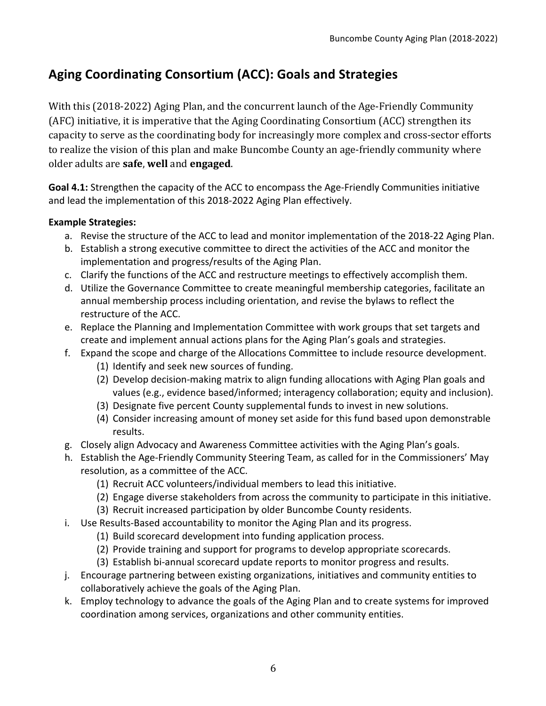# Aging Coordinating Consortium (ACC): Goals and Strategies

With this (2018-2022) Aging Plan, and the concurrent launch of the Age-Friendly Community (AFC) initiative, it is imperative that the Aging Coordinating Consortium (ACC) strengthen its capacity to serve as the coordinating body for increasingly more complex and cross-sector efforts to realize the vision of this plan and make Buncombe County an age-friendly community where older adults are **safe**, **well** and **engaged**. 

**Goal 4.1:** Strengthen the capacity of the ACC to encompass the Age-Friendly Communities initiative and lead the implementation of this 2018-2022 Aging Plan effectively.

#### **Example Strategies:**

- a. Revise the structure of the ACC to lead and monitor implementation of the 2018-22 Aging Plan.
- b. Establish a strong executive committee to direct the activities of the ACC and monitor the implementation and progress/results of the Aging Plan.
- c. Clarify the functions of the ACC and restructure meetings to effectively accomplish them.
- d. Utilize the Governance Committee to create meaningful membership categories, facilitate an annual membership process including orientation, and revise the bylaws to reflect the restructure of the ACC.
- e. Replace the Planning and Implementation Committee with work groups that set targets and create and implement annual actions plans for the Aging Plan's goals and strategies.
- f. Expand the scope and charge of the Allocations Committee to include resource development.
	- (1) Identify and seek new sources of funding.
	- (2) Develop decision-making matrix to align funding allocations with Aging Plan goals and values (e.g., evidence based/informed; interagency collaboration; equity and inclusion).
	- (3) Designate five percent County supplemental funds to invest in new solutions.
	- (4) Consider increasing amount of money set aside for this fund based upon demonstrable results.
- g. Closely align Advocacy and Awareness Committee activities with the Aging Plan's goals.
- h. Establish the Age-Friendly Community Steering Team, as called for in the Commissioners' May resolution, as a committee of the ACC.
	- (1) Recruit ACC volunteers/individual members to lead this initiative.
	- (2) Engage diverse stakeholders from across the community to participate in this initiative.
	- (3) Recruit increased participation by older Buncombe County residents.
- i. Use Results-Based accountability to monitor the Aging Plan and its progress.
	- (1) Build scorecard development into funding application process.
	- (2) Provide training and support for programs to develop appropriate scorecards.
	- (3) Establish bi-annual scorecard update reports to monitor progress and results.
- j. Encourage partnering between existing organizations, initiatives and community entities to collaboratively achieve the goals of the Aging Plan.
- k. Employ technology to advance the goals of the Aging Plan and to create systems for improved coordination among services, organizations and other community entities.